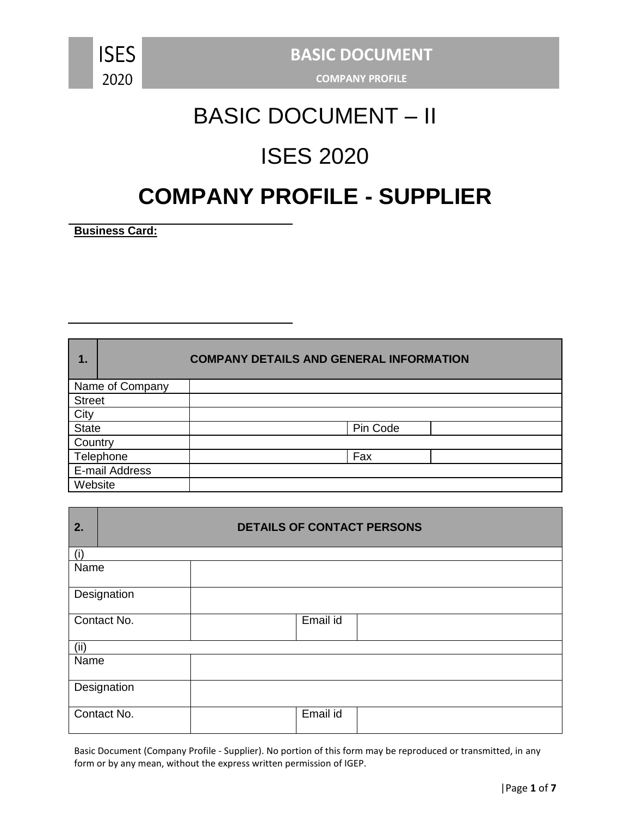

#### **COMPANY PROFILE**

# BASIC DOCUMENT – II

# ISES 2020

## **COMPANY PROFILE - SUPPLIER**

**Business Card:**

| 1.            | <b>COMPANY DETAILS AND GENERAL INFORMATION</b> |          |  |  |  |
|---------------|------------------------------------------------|----------|--|--|--|
|               | Name of Company                                |          |  |  |  |
| <b>Street</b> |                                                |          |  |  |  |
| City          |                                                |          |  |  |  |
| <b>State</b>  |                                                | Pin Code |  |  |  |
| Country       |                                                |          |  |  |  |
| Telephone     |                                                | Fax      |  |  |  |
|               | E-mail Address                                 |          |  |  |  |
| Website       |                                                |          |  |  |  |

| 2.   | <b>DETAILS OF CONTACT PERSONS</b> |  |          |  |  |  |
|------|-----------------------------------|--|----------|--|--|--|
| (i)  |                                   |  |          |  |  |  |
| Name |                                   |  |          |  |  |  |
|      | Designation                       |  |          |  |  |  |
|      | Contact No.                       |  | Email id |  |  |  |
| (ii) |                                   |  |          |  |  |  |
| Name |                                   |  |          |  |  |  |
|      | Designation                       |  |          |  |  |  |
|      | Contact No.                       |  | Email id |  |  |  |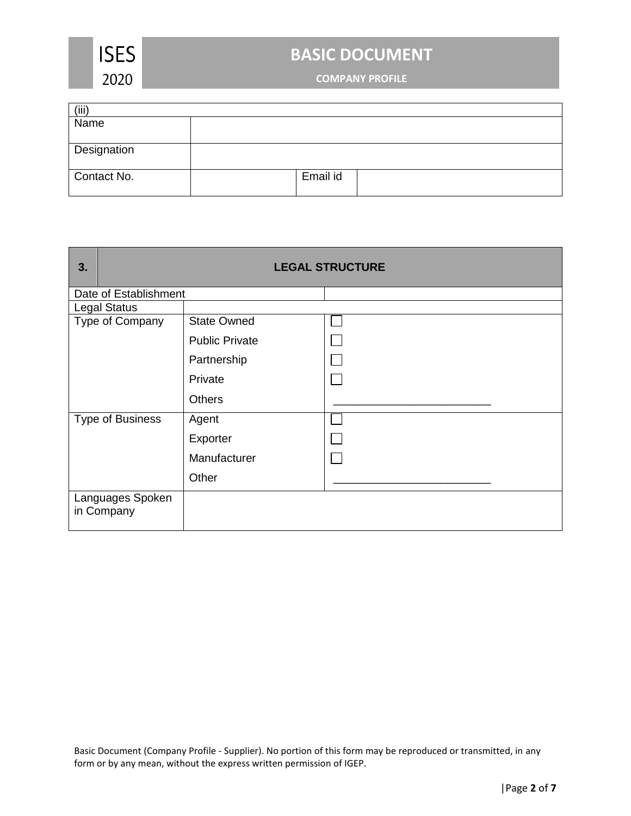

**COMPANY PROFILE**

| (iii)              |          |  |
|--------------------|----------|--|
| Name               |          |  |
|                    |          |  |
| <b>Designation</b> |          |  |
|                    |          |  |
| Contact No.        | Email id |  |
|                    |          |  |

| 3. |                                | <b>LEGAL STRUCTURE</b> |  |  |  |  |
|----|--------------------------------|------------------------|--|--|--|--|
|    | Date of Establishment          |                        |  |  |  |  |
|    | <b>Legal Status</b>            |                        |  |  |  |  |
|    | Type of Company                | <b>State Owned</b>     |  |  |  |  |
|    |                                | <b>Public Private</b>  |  |  |  |  |
|    |                                | Partnership            |  |  |  |  |
|    |                                | Private                |  |  |  |  |
|    |                                | <b>Others</b>          |  |  |  |  |
|    | <b>Type of Business</b>        | Agent                  |  |  |  |  |
|    |                                | Exporter               |  |  |  |  |
|    |                                | Manufacturer           |  |  |  |  |
|    |                                | Other                  |  |  |  |  |
|    | Languages Spoken<br>in Company |                        |  |  |  |  |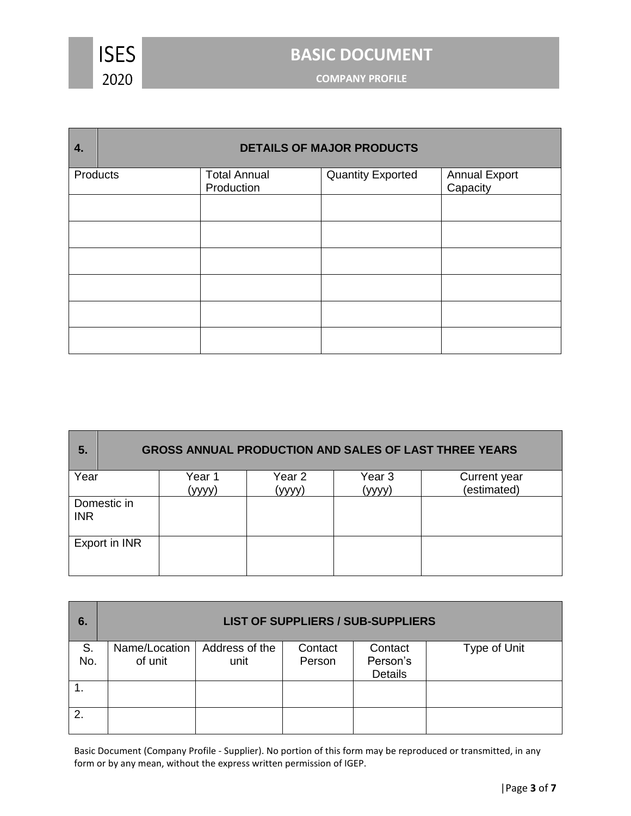

**COMPANY PROFILE**

| 4.       | <b>DETAILS OF MAJOR PRODUCTS</b> |                                   |                          |                           |  |  |
|----------|----------------------------------|-----------------------------------|--------------------------|---------------------------|--|--|
| Products |                                  | <b>Total Annual</b><br>Production | <b>Quantity Exported</b> | Annual Export<br>Capacity |  |  |
|          |                                  |                                   |                          |                           |  |  |
|          |                                  |                                   |                          |                           |  |  |
|          |                                  |                                   |                          |                           |  |  |
|          |                                  |                                   |                          |                           |  |  |
|          |                                  |                                   |                          |                           |  |  |
|          |                                  |                                   |                          |                           |  |  |

| 5.         | <b>GROSS ANNUAL PRODUCTION AND SALES OF LAST THREE YEARS</b> |        |        |        |              |  |  |
|------------|--------------------------------------------------------------|--------|--------|--------|--------------|--|--|
| Year       |                                                              | Year 1 | Year 2 | Year 3 | Current year |  |  |
|            |                                                              | (vvvv  | (vvvv) | (vvvv) | (estimated)  |  |  |
| <b>INR</b> | Domestic in                                                  |        |        |        |              |  |  |
|            | Export in INR                                                |        |        |        |              |  |  |

| 6.        | <b>LIST OF SUPPLIERS / SUB-SUPPLIERS</b> |                        |                   |                                       |              |  |  |
|-----------|------------------------------------------|------------------------|-------------------|---------------------------------------|--------------|--|--|
| S.<br>No. | Name/Location<br>of unit                 | Address of the<br>unit | Contact<br>Person | Contact<br>Person's<br><b>Details</b> | Type of Unit |  |  |
|           |                                          |                        |                   |                                       |              |  |  |
| 2.        |                                          |                        |                   |                                       |              |  |  |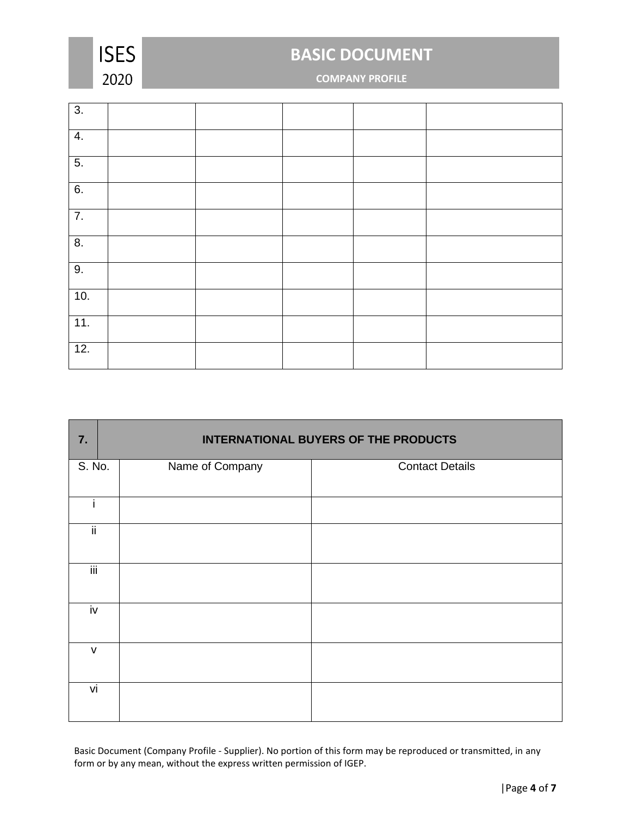

### **COMPANY PROFILE**

| 3.               |  |  |  |
|------------------|--|--|--|
| 4.               |  |  |  |
| 5.               |  |  |  |
| 6.               |  |  |  |
| $\overline{7}$ . |  |  |  |
| $\overline{8}$ . |  |  |  |
| 9.               |  |  |  |
| 10.              |  |  |  |
| 11.              |  |  |  |
| 12.              |  |  |  |

| 7.                        | <b>INTERNATIONAL BUYERS OF THE PRODUCTS</b> |                        |  |  |  |  |  |
|---------------------------|---------------------------------------------|------------------------|--|--|--|--|--|
| S. No.                    | Name of Company                             | <b>Contact Details</b> |  |  |  |  |  |
|                           |                                             |                        |  |  |  |  |  |
| ii.                       |                                             |                        |  |  |  |  |  |
| $\overline{\mathsf{iii}}$ |                                             |                        |  |  |  |  |  |
| iv                        |                                             |                        |  |  |  |  |  |
| $\mathsf{V}$              |                                             |                        |  |  |  |  |  |
| vi                        |                                             |                        |  |  |  |  |  |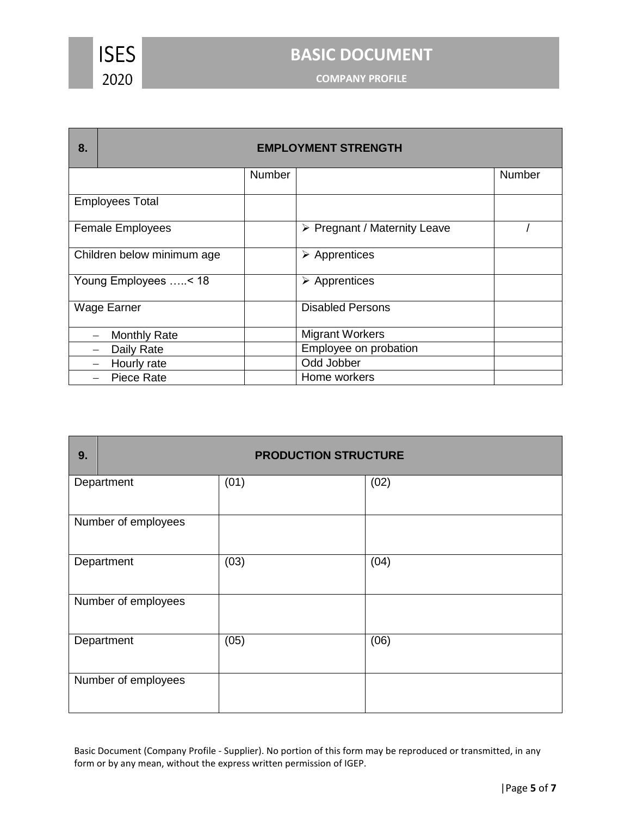

**COMPANY PROFILE**

| 8.                         | <b>EMPLOYMENT STRENGTH</b> |                                             |        |  |  |  |
|----------------------------|----------------------------|---------------------------------------------|--------|--|--|--|
|                            | <b>Number</b>              |                                             | Number |  |  |  |
| <b>Employees Total</b>     |                            |                                             |        |  |  |  |
| <b>Female Employees</b>    |                            | $\triangleright$ Pregnant / Maternity Leave |        |  |  |  |
| Children below minimum age |                            | $\triangleright$ Apprentices                |        |  |  |  |
| Young Employees < 18       |                            | $\triangleright$ Apprentices                |        |  |  |  |
| Wage Earner                |                            | <b>Disabled Persons</b>                     |        |  |  |  |
| <b>Monthly Rate</b>        |                            | <b>Migrant Workers</b>                      |        |  |  |  |
| Daily Rate                 |                            | Employee on probation                       |        |  |  |  |
| Hourly rate                |                            | Odd Jobber                                  |        |  |  |  |
| Piece Rate                 |                            | Home workers                                |        |  |  |  |

| 9. | <b>PRODUCTION STRUCTURE</b> |      |      |  |  |  |
|----|-----------------------------|------|------|--|--|--|
|    | Department                  | (01) | (02) |  |  |  |
|    | Number of employees         |      |      |  |  |  |
|    | Department                  | (03) | (04) |  |  |  |
|    | Number of employees         |      |      |  |  |  |
|    | Department                  | (05) | (06) |  |  |  |
|    | Number of employees         |      |      |  |  |  |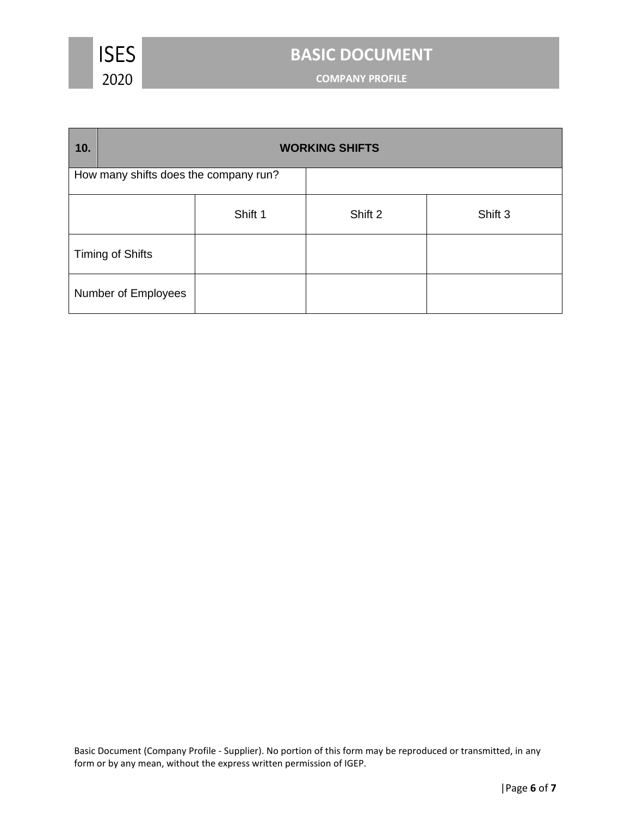

**COMPANY PROFILE**

| 10.                                   | <b>WORKING SHIFTS</b>   |         |         |         |  |  |
|---------------------------------------|-------------------------|---------|---------|---------|--|--|
| How many shifts does the company run? |                         |         |         |         |  |  |
|                                       |                         | Shift 1 | Shift 2 | Shift 3 |  |  |
|                                       | <b>Timing of Shifts</b> |         |         |         |  |  |
|                                       | Number of Employees     |         |         |         |  |  |